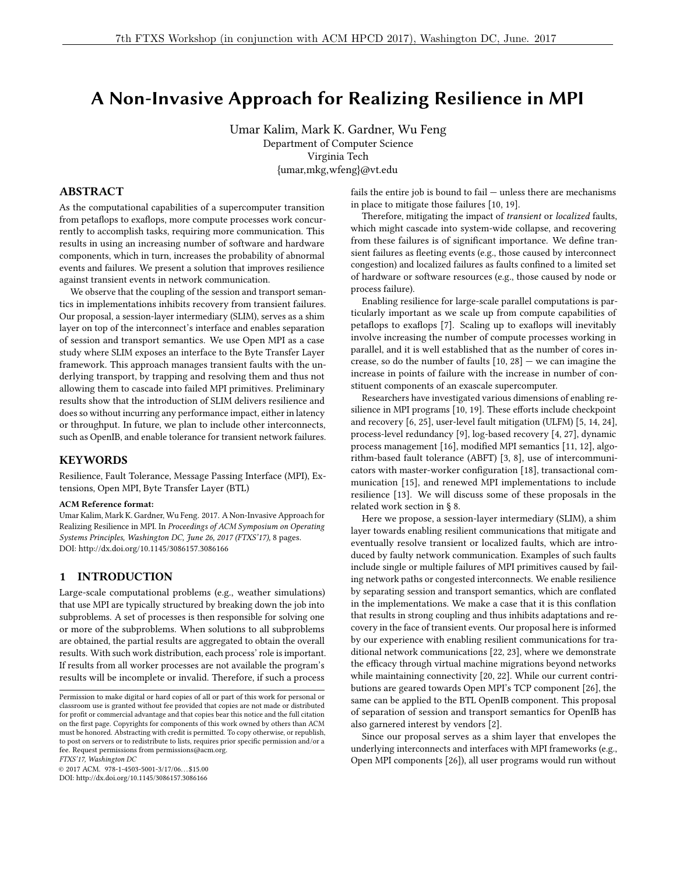# A Non-Invasive Approach for Realizing Resilience in MPI

Umar Kalim, Mark K. Gardner, Wu Feng Department of Computer Science Virginia Tech {umar,mkg,wfeng}@vt.edu

#### ABSTRACT

As the computational capabilities of a supercomputer transition from petaflops to exaflops, more compute processes work concurrently to accomplish tasks, requiring more communication. This results in using an increasing number of software and hardware components, which in turn, increases the probability of abnormal events and failures. We present a solution that improves resilience against transient events in network communication.

We observe that the coupling of the session and transport semantics in implementations inhibits recovery from transient failures. Our proposal, a session-layer intermediary (SLIM), serves as a shim layer on top of the interconnect's interface and enables separation of session and transport semantics. We use Open MPI as a case study where SLIM exposes an interface to the Byte Transfer Layer framework. This approach manages transient faults with the underlying transport, by trapping and resolving them and thus not allowing them to cascade into failed MPI primitives. Preliminary results show that the introduction of SLIM delivers resilience and does so without incurring any performance impact, either in latency or throughput. In future, we plan to include other interconnects, such as OpenIB, and enable tolerance for transient network failures.

#### KEYWORDS

Resilience, Fault Tolerance, Message Passing Interface (MPI), Extensions, Open MPI, Byte Transfer Layer (BTL)

#### ACM Reference format:

Umar Kalim, Mark K. Gardner, Wu Feng. 2017. A Non-Invasive Approach for Realizing Resilience in MPI. In Proceedings of ACM Symposium on Operating Systems Principles, Washington DC, June 26, 2017 (FTXS'17), [8](#page-7-0) pages. DOI: http://dx.doi.org/10.1145/3086157.3086166

# <span id="page-0-0"></span>1 INTRODUCTION

Large-scale computational problems (e.g., weather simulations) that use MPI are typically structured by breaking down the job into subproblems. A set of processes is then responsible for solving one or more of the subproblems. When solutions to all subproblems are obtained, the partial results are aggregated to obtain the overall results. With such work distribution, each process' role is important. If results from all worker processes are not available the program's results will be incomplete or invalid. Therefore, if such a process

FTXS'17, Washington DC

© 2017 ACM. 978-1-4503-5001-3/17/06. . . \$15.00 DOI: http://dx.doi.org/10.1145/3086157.3086166

fails the entire job is bound to fail — unless there are mechanisms in place to mitigate those failures [\[10,](#page-7-1) [19\]](#page-7-2).

Therefore, mitigating the impact of transient or localized faults, which might cascade into system-wide collapse, and recovering from these failures is of significant importance. We define transient failures as fleeting events (e.g., those caused by interconnect congestion) and localized failures as faults confined to a limited set of hardware or software resources (e.g., those caused by node or process failure).

Enabling resilience for large-scale parallel computations is particularly important as we scale up from compute capabilities of petaflops to exaflops [\[7\]](#page-7-3). Scaling up to exaflops will inevitably involve increasing the number of compute processes working in parallel, and it is well established that as the number of cores increase, so do the number of faults  $[10, 28]$  $[10, 28]$  $[10, 28]$  – we can imagine the increase in points of failure with the increase in number of constituent components of an exascale supercomputer.

Researchers have investigated various dimensions of enabling re-silience in MPI programs [\[10,](#page-7-1) [19\]](#page-7-2). These efforts include checkpoint and recovery [\[6,](#page-7-5) [25\]](#page-7-6), user-level fault mitigation (ULFM) [\[5,](#page-7-7) [14,](#page-7-8) [24\]](#page-7-9), process-level redundancy [\[9\]](#page-7-10), log-based recovery [\[4,](#page-7-11) [27\]](#page-7-12), dynamic process management [\[16\]](#page-7-13), modified MPI semantics [\[11,](#page-7-14) [12\]](#page-7-15), algorithm-based fault tolerance (ABFT) [\[3,](#page-7-16) [8\]](#page-7-17), use of intercommuni-cators with master-worker configuration [\[18\]](#page-7-18), transactional communication [\[15\]](#page-7-19), and renewed MPI implementations to include resilience [\[13\]](#page-7-20). We will discuss some of these proposals in the related work section in § [8.](#page-6-0)

Here we propose, a session-layer intermediary (SLIM), a shim layer towards enabling resilient communications that mitigate and eventually resolve transient or localized faults, which are introduced by faulty network communication. Examples of such faults include single or multiple failures of MPI primitives caused by failing network paths or congested interconnects. We enable resilience by separating session and transport semantics, which are conflated in the implementations. We make a case that it is this conflation that results in strong coupling and thus inhibits adaptations and recovery in the face of transient events. Our proposal here is informed by our experience with enabling resilient communications for traditional network communications [\[22,](#page-7-21) [23\]](#page-7-22), where we demonstrate the efficacy through virtual machine migrations beyond networks while maintaining connectivity [\[20,](#page-7-23) [22\]](#page-7-21). While our current contributions are geared towards Open MPI's TCP component [\[26\]](#page-7-24), the same can be applied to the BTL OpenIB component. This proposal of separation of session and transport semantics for OpenIB has also garnered interest by vendors [\[2\]](#page-7-25).

Since our proposal serves as a shim layer that envelopes the underlying interconnects and interfaces with MPI frameworks (e.g., Open MPI components [\[26\]](#page-7-24)), all user programs would run without

Permission to make digital or hard copies of all or part of this work for personal or classroom use is granted without fee provided that copies are not made or distributed for profit or commercial advantage and that copies bear this notice and the full citation on the first page. Copyrights for components of this work owned by others than  $\rm{ACM}$ must be honored. Abstracting with credit is permitted. To copy otherwise, or republish, to post on servers or to redistribute to lists, requires prior specific permission and/or a fee. Request permissions from permissions@acm.org.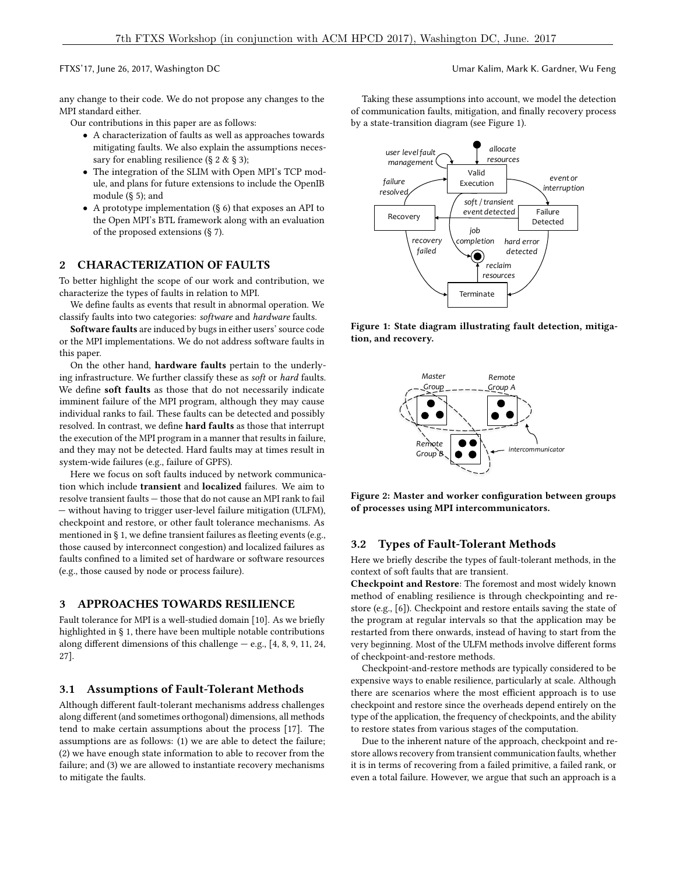any change to their code. We do not propose any changes to the MPI standard either.

Our contributions in this paper are as follows:

- A characterization of faults as well as approaches towards mitigating faults. We also explain the assumptions neces-sary for enabling resilience (§ [2](#page-1-0) & § [3\)](#page-1-1);
- The integration of the SLIM with Open MPI's TCP module, and plans for future extensions to include the OpenIB module (§ [5\)](#page-3-0); and
- A prototype implementation (§ [6\)](#page-4-0) that exposes an API to the Open MPI's BTL framework along with an evaluation of the proposed extensions (§ [7\)](#page-5-0).

#### <span id="page-1-0"></span>2 CHARACTERIZATION OF FAULTS

To better highlight the scope of our work and contribution, we characterize the types of faults in relation to MPI.

We define faults as events that result in abnormal operation. We classify faults into two categories: software and hardware faults.

Software faults are induced by bugs in either users' source code or the MPI implementations. We do not address software faults in this paper.

On the other hand, hardware faults pertain to the underlying infrastructure. We further classify these as soft or hard faults. We define soft faults as those that do not necessarily indicate imminent failure of the MPI program, although they may cause individual ranks to fail. These faults can be detected and possibly resolved. In contrast, we define hard faults as those that interrupt the execution of the MPI program in a manner that results in failure, and they may not be detected. Hard faults may at times result in system-wide failures (e.g., failure of GPFS).

Here we focus on soft faults induced by network communication which include transient and localized failures. We aim to resolve transient faults — those that do not cause an MPI rank to fail — without having to trigger user-level failure mitigation (ULFM), checkpoint and restore, or other fault tolerance mechanisms. As mentioned in  $\S$  [1,](#page-0-0) we define transient failures as fleeting events (e.g., those caused by interconnect congestion) and localized failures as faults confined to a limited set of hardware or software resources (e.g., those caused by node or process failure).

### <span id="page-1-1"></span>3 APPROACHES TOWARDS RESILIENCE

Fault tolerance for MPI is a well-studied domain [\[10\]](#page-7-1). As we briefly highlighted in § [1,](#page-0-0) there have been multiple notable contributions along different dimensions of this challenge  $-$  e.g., [\[4,](#page-7-11) [8,](#page-7-17) [9,](#page-7-10) [11,](#page-7-14) [24,](#page-7-9) [27\]](#page-7-12).

#### 3.1 Assumptions of Fault-Tolerant Methods

Although different fault-tolerant mechanisms address challenges along different (and sometimes orthogonal) dimensions, all methods tend to make certain assumptions about the process [\[17\]](#page-7-26). The assumptions are as follows: (1) we are able to detect the failure; (2) we have enough state information to able to recover from the failure; and (3) we are allowed to instantiate recovery mechanisms to mitigate the faults.

Taking these assumptions into account, we model the detection of communication faults, mitigation, and finally recovery process by a state-transition diagram (see Figure [1\)](#page-1-2).

<span id="page-1-2"></span>

<span id="page-1-3"></span>Figure 1: State diagram illustrating fault detection, mitigation, and recovery.



Figure 2: Master and worker configuration between groups of processes using MPI intercommunicators.

#### 3.2 Types of Fault-Tolerant Methods

Here we briefly describe the types of fault-tolerant methods, in the context of soft faults that are transient.

Checkpoint and Restore: The foremost and most widely known method of enabling resilience is through checkpointing and restore (e.g., [\[6\]](#page-7-5)). Checkpoint and restore entails saving the state of the program at regular intervals so that the application may be restarted from there onwards, instead of having to start from the very beginning. Most of the ULFM methods involve different forms of checkpoint-and-restore methods.

Checkpoint-and-restore methods are typically considered to be expensive ways to enable resilience, particularly at scale. Although there are scenarios where the most efficient approach is to use checkpoint and restore since the overheads depend entirely on the type of the application, the frequency of checkpoints, and the ability to restore states from various stages of the computation.

Due to the inherent nature of the approach, checkpoint and restore allows recovery from transient communication faults, whether it is in terms of recovering from a failed primitive, a failed rank, or even a total failure. However, we argue that such an approach is a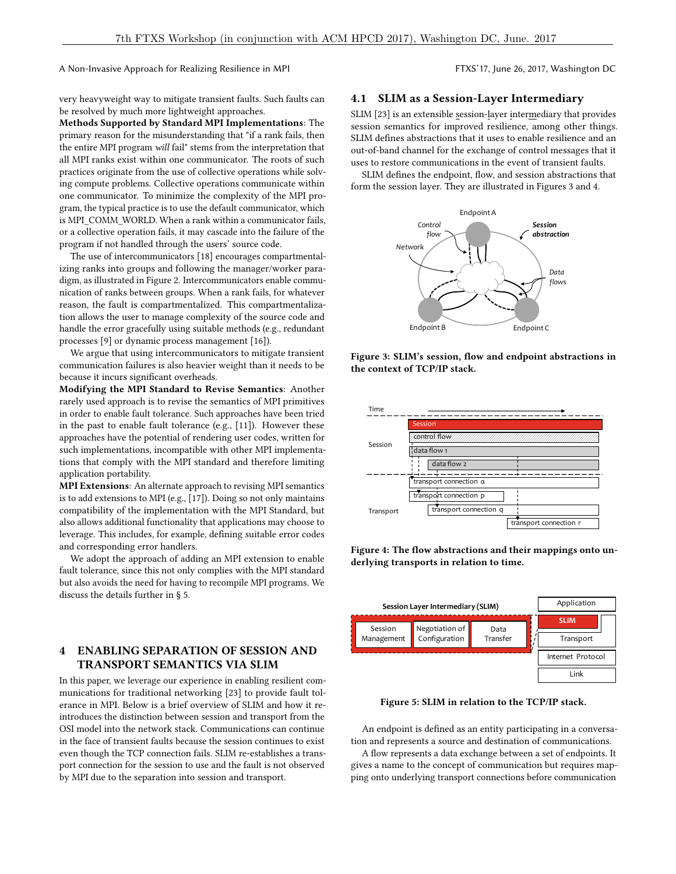A Non-Invasive Approach for Realizing Resilience in MPI FTXS'17, June 26, 2017, Washington DC

very heavyweight way to mitigate transient faults. Such faults can be resolved by much more lightweight approaches.

Methods Supported by Standard MPI Implementations: The primary reason for the misunderstanding that "if a rank fails, then the entire MPI program will fail" stems from the interpretation that all MPI ranks exist within one communicator. The roots of such practices originate from the use of collective operations while solving compute problems. Collective operations communicate within one communicator. To minimize the complexity of the MPI program, the typical practice is to use the default communicator, which is MPI\_COMM\_WORLD. When a rank within a communicator fails, or a collective operation fails, it may cascade into the failure of the program if not handled through the users' source code.

The use of intercommunicators [\[18\]](#page-7-18) encourages compartmentalizing ranks into groups and following the manager/worker paradigm, as illustrated in Figure [2.](#page-1-3) Intercommunicators enable communication of ranks between groups. When a rank fails, for whatever reason, the fault is compartmentalized. This compartmentalization allows the user to manage complexity of the source code and handle the error gracefully using suitable methods (e.g., redundant processes [\[9\]](#page-7-10) or dynamic process management [\[16\]](#page-7-13)).

We argue that using intercommunicators to mitigate transient communication failures is also heavier weight than it needs to be because it incurs significant overheads.

Modifying the MPI Standard to Revise Semantics: Another rarely used approach is to revise the semantics of MPI primitives in order to enable fault tolerance. Such approaches have been tried in the past to enable fault tolerance (e.g., [\[11\]](#page-7-14)). However these approaches have the potential of rendering user codes, written for such implementations, incompatible with other MPI implementations that comply with the MPI standard and therefore limiting application portability.

MPI Extensions: An alternate approach to revising MPI semantics is to add extensions to MPI (e.g., [\[17\]](#page-7-26)). Doing so not only maintains compatibility of the implementation with the MPI Standard, but also allows additional functionality that applications may choose to leverage. This includes, for example, defining suitable error codes and corresponding error handlers.

We adopt the approach of adding an MPI extension to enable fault tolerance, since this not only complies with the MPI standard but also avoids the need for having to recompile MPI programs. We discuss the details further in § [5.](#page-3-0)

# 4 ENABLING SEPARATION OF SESSION AND TRANSPORT SEMANTICS VIA SLIM

In this paper, we leverage our experience in enabling resilient communications for traditional networking [\[23\]](#page-7-22) to provide fault tolerance in MPI. Below is a brief overview of SLIM and how it reintroduces the distinction between session and transport from the OSI model into the network stack. Communications can continue in the face of transient faults because the session continues to exist even though the TCP connection fails. SLIM re-establishes a transport connection for the session to use and the fault is not observed by MPI due to the separation into session and transport.

#### 4.1 SLIM as a Session-Layer Intermediary

SLIM [\[23\]](#page-7-22) is an extensible session-layer intermediary that provides session semantics for improved resilience, among other things. SLIM defines abstractions that it uses to enable resilience and an out-of-band channel for the exchange of control messages that it uses to restore communications in the event of transient faults.

<span id="page-2-0"></span>SLIM defines the endpoint, flow, and session abstractions that form the session layer. They are illustrated in Figures [3](#page-2-0) and [4.](#page-2-1)



Figure 3: SLIM's session, flow and endpoint abstractions in the context of TCP/IP stack.

<span id="page-2-1"></span>

Figure 4: The flow abstractions and their mappings onto underlying transports in relation to time.

<span id="page-2-2"></span>

Figure 5: SLIM in relation to the TCP/IP stack.

An endpoint is defined as an entity participating in a conversation and represents a source and destination of communications.

A flow represents a data exchange between a set of endpoints. It gives a name to the concept of communication but requires mapping onto underlying transport connections before communication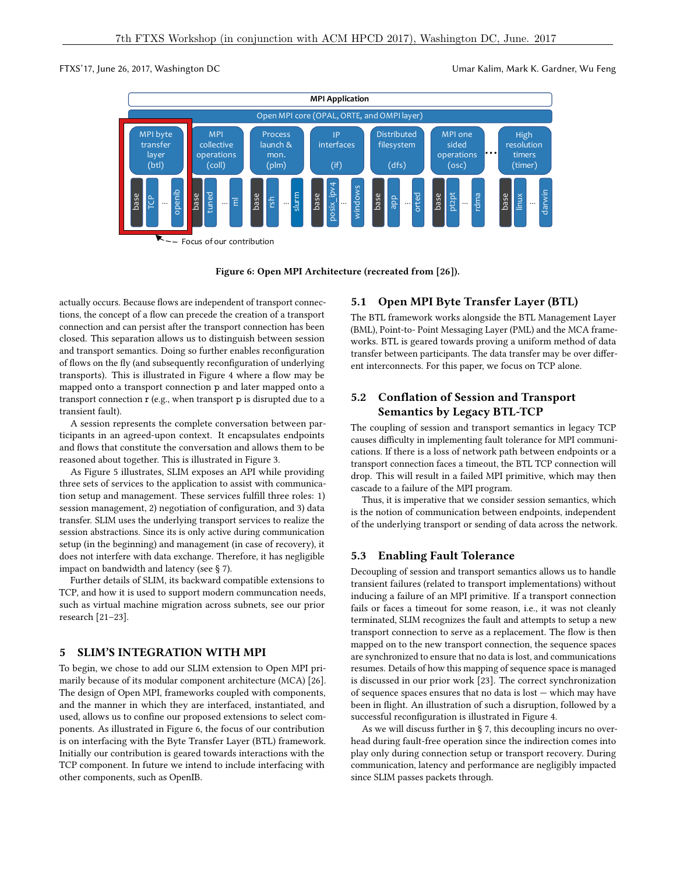<span id="page-3-1"></span>

Figure 6: Open MPI Architecture (recreated from [\[26\]](#page-7-24)).

actually occurs. Because flows are independent of transport connections, the concept of a flow can precede the creation of a transport connection and can persist after the transport connection has been closed. This separation allows us to distinguish between session and transport semantics. Doing so further enables reconfiguration of flows on the fly (and subsequently reconfiguration of underlying transports). This is illustrated in Figure [4](#page-2-1) where a flow may be mapped onto a transport connection p and later mapped onto a transport connection r (e.g., when transport p is disrupted due to a transient fault).

A session represents the complete conversation between participants in an agreed-upon context. It encapsulates endpoints and flows that constitute the conversation and allows them to be reasoned about together. This is illustrated in Figure [3.](#page-2-0)

As Figure [5](#page-2-2) illustrates, SLIM exposes an API while providing three sets of services to the application to assist with communication setup and management. These services fulfill three roles: 1) session management, 2) negotiation of configuration, and 3) data transfer. SLIM uses the underlying transport services to realize the session abstractions. Since its is only active during communication setup (in the beginning) and management (in case of recovery), it does not interfere with data exchange. Therefore, it has negligible impact on bandwidth and latency (see § [7\)](#page-5-0).

Further details of SLIM, its backward compatible extensions to TCP, and how it is used to support modern communcation needs, such as virtual machine migration across subnets, see our prior research [\[21](#page-7-27)[–23\]](#page-7-22).

#### <span id="page-3-0"></span>5 SLIM'S INTEGRATION WITH MPI

To begin, we chose to add our SLIM extension to Open MPI primarily because of its modular component architecture (MCA) [\[26\]](#page-7-24). The design of Open MPI, frameworks coupled with components, and the manner in which they are interfaced, instantiated, and used, allows us to confine our proposed extensions to select components. As illustrated in Figure [6,](#page-3-1) the focus of our contribution is on interfacing with the Byte Transfer Layer (BTL) framework. Initially our contribution is geared towards interactions with the TCP component. In future we intend to include interfacing with other components, such as OpenIB.

### 5.1 Open MPI Byte Transfer Layer (BTL)

The BTL framework works alongside the BTL Management Layer (BML), Point-to- Point Messaging Layer (PML) and the MCA frameworks. BTL is geared towards proving a uniform method of data transfer between participants. The data transfer may be over different interconnects. For this paper, we focus on TCP alone.

# 5.2 Conflation of Session and Transport Semantics by Legacy BTL-TCP

The coupling of session and transport semantics in legacy TCP causes difficulty in implementing fault tolerance for MPI communications. If there is a loss of network path between endpoints or a transport connection faces a timeout, the BTL TCP connection will drop. This will result in a failed MPI primitive, which may then cascade to a failure of the MPI program.

Thus, it is imperative that we consider session semantics, which is the notion of communication between endpoints, independent of the underlying transport or sending of data across the network.

#### 5.3 Enabling Fault Tolerance

Decoupling of session and transport semantics allows us to handle transient failures (related to transport implementations) without inducing a failure of an MPI primitive. If a transport connection fails or faces a timeout for some reason, i.e., it was not cleanly terminated, SLIM recognizes the fault and attempts to setup a new transport connection to serve as a replacement. The flow is then mapped on to the new transport connection, the sequence spaces are synchronized to ensure that no data is lost, and communications resumes. Details of how this mapping of sequence space is managed is discussed in our prior work [\[23\]](#page-7-22). The correct synchronization of sequence spaces ensures that no data is lost — which may have been in flight. An illustration of such a disruption, followed by a successful reconfiguration is illustrated in Figure [4.](#page-2-1)

As we will discuss further in § [7,](#page-5-0) this decoupling incurs no overhead during fault-free operation since the indirection comes into play only during connection setup or transport recovery. During communication, latency and performance are negligibly impacted since SLIM passes packets through.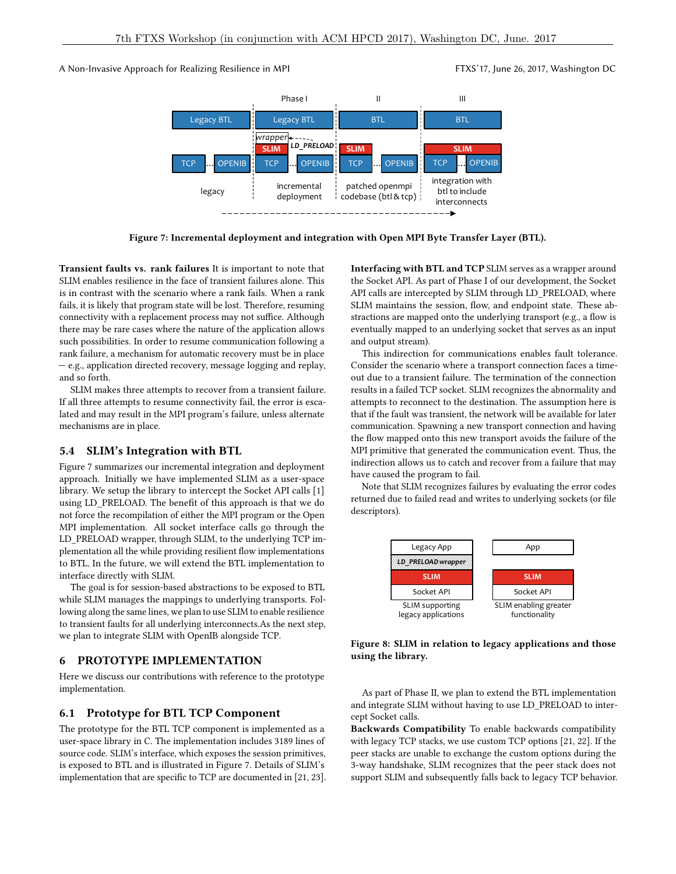<span id="page-4-1"></span>A Non-Invasive Approach for Realizing Resilience in MPI FTXS'17, June 26, 2017, Washington DC



Figure 7: Incremental deployment and integration with Open MPI Byte Transfer Layer (BTL).

Transient faults vs. rank failures It is important to note that SLIM enables resilience in the face of transient failures alone. This is in contrast with the scenario where a rank fails. When a rank fails, it is likely that program state will be lost. Therefore, resuming connectivity with a replacement process may not suffice. Although there may be rare cases where the nature of the application allows such possibilities. In order to resume communication following a rank failure, a mechanism for automatic recovery must be in place — e.g., application directed recovery, message logging and replay, and so forth.

SLIM makes three attempts to recover from a transient failure. If all three attempts to resume connectivity fail, the error is escalated and may result in the MPI program's failure, unless alternate mechanisms are in place.

#### 5.4 SLIM's Integration with BTL

Figure [7](#page-4-1) summarizes our incremental integration and deployment approach. Initially we have implemented SLIM as a user-space library. We setup the library to intercept the Socket API calls [\[1\]](#page-7-28) using LD\_PRELOAD. The benefit of this approach is that we do not force the recompilation of either the MPI program or the Open MPI implementation. All socket interface calls go through the LD\_PRELOAD wrapper, through SLIM, to the underlying TCP implementation all the while providing resilient flow implementations to BTL. In the future, we will extend the BTL implementation to interface directly with SLIM.

The goal is for session-based abstractions to be exposed to BTL while SLIM manages the mappings to underlying transports. Following along the same lines, we plan to use SLIM to enable resilience to transient faults for all underlying interconnects.As the next step, we plan to integrate SLIM with OpenIB alongside TCP.

#### <span id="page-4-0"></span>6 PROTOTYPE IMPLEMENTATION

Here we discuss our contributions with reference to the prototype implementation.

#### 6.1 Prototype for BTL TCP Component

The prototype for the BTL TCP component is implemented as a user-space library in C. The implementation includes 3189 lines of source code. SLIM's interface, which exposes the session primitives, is exposed to BTL and is illustrated in Figure [7.](#page-4-1) Details of SLIM's implementation that are specific to TCP are documented in [\[21,](#page-7-27) [23\]](#page-7-22). Interfacing with BTL and TCP SLIM serves as a wrapper around the Socket API. As part of Phase I of our development, the Socket API calls are intercepted by SLIM through LD\_PRELOAD, where SLIM maintains the session, flow, and endpoint state. These abstractions are mapped onto the underlying transport (e.g., a flow is eventually mapped to an underlying socket that serves as an input and output stream).

This indirection for communications enables fault tolerance. Consider the scenario where a transport connection faces a timeout due to a transient failure. The termination of the connection results in a failed TCP socket. SLIM recognizes the abnormality and attempts to reconnect to the destination. The assumption here is that if the fault was transient, the network will be available for later communication. Spawning a new transport connection and having the flow mapped onto this new transport avoids the failure of the MPI primitive that generated the communication event. Thus, the indirection allows us to catch and recover from a failure that may have caused the program to fail.

Note that SLIM recognizes failures by evaluating the error codes returned due to failed read and writes to underlying sockets (or file descriptors).





As part of Phase II, we plan to extend the BTL implementation and integrate SLIM without having to use LD\_PRELOAD to intercept Socket calls.

Backwards Compatibility To enable backwards compatibility with legacy TCP stacks, we use custom TCP options [\[21,](#page-7-27) [22\]](#page-7-21). If the peer stacks are unable to exchange the custom options during the 3-way handshake, SLIM recognizes that the peer stack does not support SLIM and subsequently falls back to legacy TCP behavior.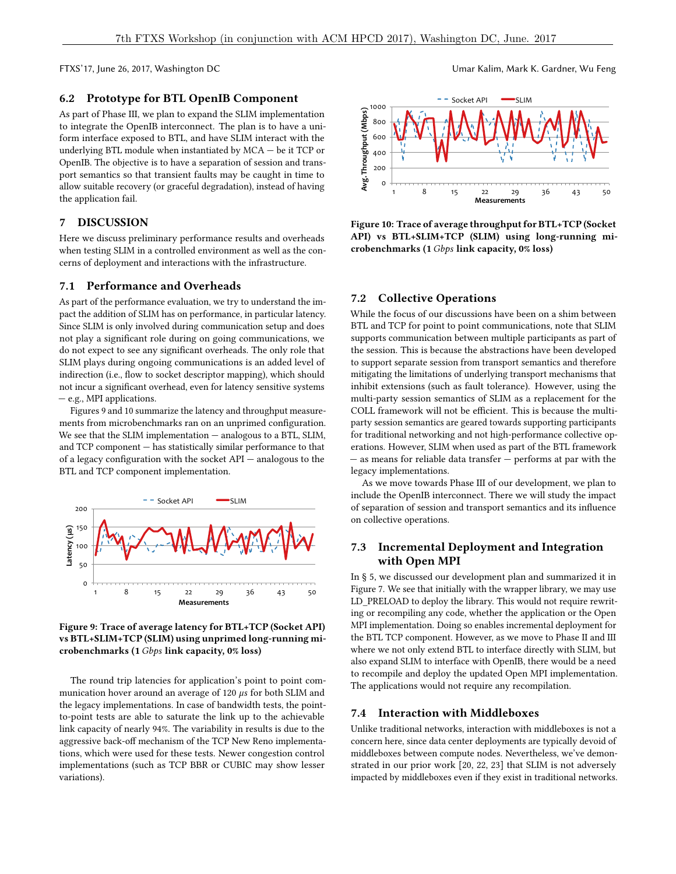# 6.2 Prototype for BTL OpenIB Component

As part of Phase III, we plan to expand the SLIM implementation to integrate the OpenIB interconnect. The plan is to have a uniform interface exposed to BTL, and have SLIM interact with the underlying BTL module when instantiated by MCA — be it TCP or OpenIB. The objective is to have a separation of session and transport semantics so that transient faults may be caught in time to allow suitable recovery (or graceful degradation), instead of having the application fail.

# <span id="page-5-0"></span>7 DISCUSSION

Here we discuss preliminary performance results and overheads when testing SLIM in a controlled environment as well as the concerns of deployment and interactions with the infrastructure.

#### 7.1 Performance and Overheads

As part of the performance evaluation, we try to understand the impact the addition of SLIM has on performance, in particular latency. Since SLIM is only involved during communication setup and does not play a signicant role during on going communications, we do not expect to see any significant overheads. The only role that SLIM plays during ongoing communications is an added level of indirection (i.e., flow to socket descriptor mapping), which should not incur a significant overhead, even for latency sensitive systems — e.g., MPI applications.

Figures [9](#page-5-1) and [10](#page-5-2) summarize the latency and throughput measurements from microbenchmarks ran on an unprimed configuration. We see that the SLIM implementation — analogous to a BTL, SLIM, and TCP component — has statistically similar performance to that of a legacy configuration with the socket  $API -$  analogous to the BTL and TCP component implementation.

<span id="page-5-1"></span>

Figure 9: Trace of average latency for BTL+TCP (Socket API) vs BTL+SLIM+TCP (SLIM) using unprimed long-running microbenchmarks (1 Gbps link capacity, 0% loss)

The round trip latencies for application's point to point communication hover around an average of 120  $\mu$ s for both SLIM and the legacy implementations. In case of bandwidth tests, the pointto-point tests are able to saturate the link up to the achievable link capacity of nearly 94%. The variability in results is due to the aggressive back-off mechanism of the TCP New Reno implementations, which were used for these tests. Newer congestion control implementations (such as TCP BBR or CUBIC may show lesser variations).

<span id="page-5-2"></span>

Figure 10: Trace of average throughput for BTL+TCP (Socket API) vs BTL+SLIM+TCP (SLIM) using long-running microbenchmarks (1 Gbps link capacity, 0% loss)

#### 7.2 Collective Operations

While the focus of our discussions have been on a shim between BTL and TCP for point to point communications, note that SLIM supports communication between multiple participants as part of the session. This is because the abstractions have been developed to support separate session from transport semantics and therefore mitigating the limitations of underlying transport mechanisms that inhibit extensions (such as fault tolerance). However, using the multi-party session semantics of SLIM as a replacement for the COLL framework will not be efficient. This is because the multiparty session semantics are geared towards supporting participants for traditional networking and not high-performance collective operations. However, SLIM when used as part of the BTL framework — as means for reliable data transfer — performs at par with the legacy implementations.

As we move towards Phase III of our development, we plan to include the OpenIB interconnect. There we will study the impact of separation of session and transport semantics and its influence on collective operations.

# 7.3 Incremental Deployment and Integration with Open MPI

In § [5,](#page-3-0) we discussed our development plan and summarized it in Figure [7.](#page-4-1) We see that initially with the wrapper library, we may use LD\_PRELOAD to deploy the library. This would not require rewriting or recompiling any code, whether the application or the Open MPI implementation. Doing so enables incremental deployment for the BTL TCP component. However, as we move to Phase II and III where we not only extend BTL to interface directly with SLIM, but also expand SLIM to interface with OpenIB, there would be a need to recompile and deploy the updated Open MPI implementation. The applications would not require any recompilation.

#### 7.4 Interaction with Middleboxes

Unlike traditional networks, interaction with middleboxes is not a concern here, since data center deployments are typically devoid of middleboxes between compute nodes. Nevertheless, we've demonstrated in our prior work [\[20,](#page-7-23) [22,](#page-7-21) [23\]](#page-7-22) that SLIM is not adversely impacted by middleboxes even if they exist in traditional networks.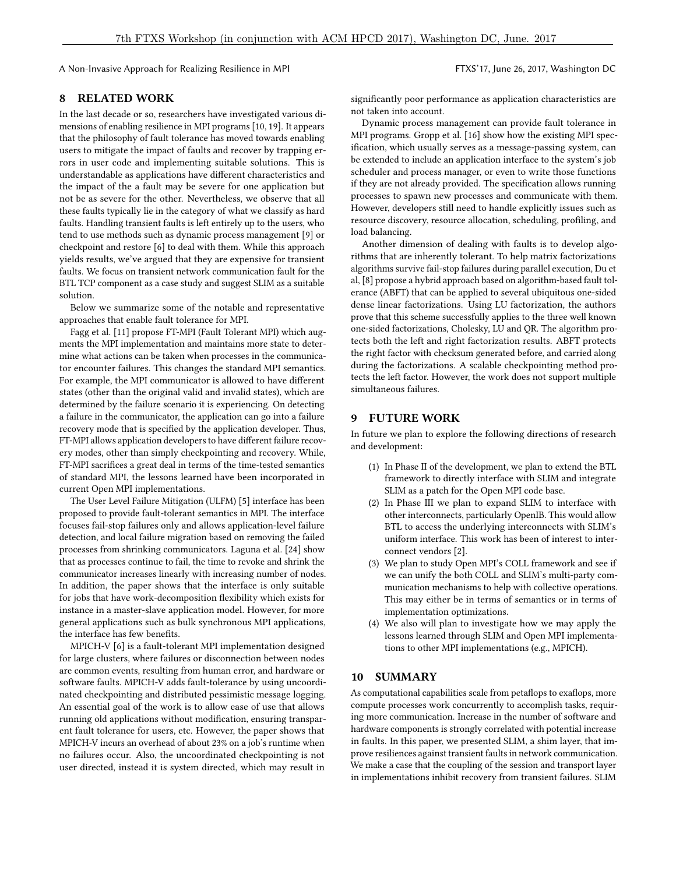A Non-Invasive Approach for Realizing Resilience in MPI FTXS'17, June 26, 2017, Washington DC

#### <span id="page-6-0"></span>8 RELATED WORK

In the last decade or so, researchers have investigated various dimensions of enabling resilience in MPI programs [\[10,](#page-7-1) [19\]](#page-7-2). It appears that the philosophy of fault tolerance has moved towards enabling users to mitigate the impact of faults and recover by trapping errors in user code and implementing suitable solutions. This is understandable as applications have different characteristics and the impact of the a fault may be severe for one application but not be as severe for the other. Nevertheless, we observe that all these faults typically lie in the category of what we classify as hard faults. Handling transient faults is left entirely up to the users, who tend to use methods such as dynamic process management [\[9\]](#page-7-10) or checkpoint and restore [\[6\]](#page-7-5) to deal with them. While this approach yields results, we've argued that they are expensive for transient faults. We focus on transient network communication fault for the BTL TCP component as a case study and suggest SLIM as a suitable solution.

Below we summarize some of the notable and representative approaches that enable fault tolerance for MPI.

Fagg et al. [\[11\]](#page-7-14) propose FT-MPI (Fault Tolerant MPI) which augments the MPI implementation and maintains more state to determine what actions can be taken when processes in the communicator encounter failures. This changes the standard MPI semantics. For example, the MPI communicator is allowed to have different states (other than the original valid and invalid states), which are determined by the failure scenario it is experiencing. On detecting a failure in the communicator, the application can go into a failure recovery mode that is specified by the application developer. Thus, FT-MPI allows application developers to have different failure recovery modes, other than simply checkpointing and recovery. While, FT-MPI sacrifices a great deal in terms of the time-tested semantics of standard MPI, the lessons learned have been incorporated in current Open MPI implementations.

The User Level Failure Mitigation (ULFM) [\[5\]](#page-7-7) interface has been proposed to provide fault-tolerant semantics in MPI. The interface focuses fail-stop failures only and allows application-level failure detection, and local failure migration based on removing the failed processes from shrinking communicators. Laguna et al. [\[24\]](#page-7-9) show that as processes continue to fail, the time to revoke and shrink the communicator increases linearly with increasing number of nodes. In addition, the paper shows that the interface is only suitable for jobs that have work-decomposition flexibility which exists for instance in a master-slave application model. However, for more general applications such as bulk synchronous MPI applications, the interface has few benefits.

MPICH-V [\[6\]](#page-7-5) is a fault-tolerant MPI implementation designed for large clusters, where failures or disconnection between nodes are common events, resulting from human error, and hardware or software faults. MPICH-V adds fault-tolerance by using uncoordinated checkpointing and distributed pessimistic message logging. An essential goal of the work is to allow ease of use that allows running old applications without modification, ensuring transparent fault tolerance for users, etc. However, the paper shows that MPICH-V incurs an overhead of about 23% on a job's runtime when no failures occur. Also, the uncoordinated checkpointing is not user directed, instead it is system directed, which may result in

significantly poor performance as application characteristics are not taken into account.

Dynamic process management can provide fault tolerance in MPI programs. Gropp et al. [\[16\]](#page-7-13) show how the existing MPI specification, which usually serves as a message-passing system, can be extended to include an application interface to the system's job scheduler and process manager, or even to write those functions if they are not already provided. The specification allows running processes to spawn new processes and communicate with them. However, developers still need to handle explicitly issues such as resource discovery, resource allocation, scheduling, profiling, and load balancing.

Another dimension of dealing with faults is to develop algorithms that are inherently tolerant. To help matrix factorizations algorithms survive fail-stop failures during parallel execution, Du et al, [\[8\]](#page-7-17) propose a hybrid approach based on algorithm-based fault tolerance (ABFT) that can be applied to several ubiquitous one-sided dense linear factorizations. Using LU factorization, the authors prove that this scheme successfully applies to the three well known one-sided factorizations, Cholesky, LU and QR. The algorithm protects both the left and right factorization results. ABFT protects the right factor with checksum generated before, and carried along during the factorizations. A scalable checkpointing method protects the left factor. However, the work does not support multiple simultaneous failures.

# 9 FUTURE WORK

In future we plan to explore the following directions of research and development:

- (1) In Phase II of the development, we plan to extend the BTL framework to directly interface with SLIM and integrate SLIM as a patch for the Open MPI code base.
- (2) In Phase III we plan to expand SLIM to interface with other interconnects, particularly OpenIB. This would allow BTL to access the underlying interconnects with SLIM's uniform interface. This work has been of interest to interconnect vendors [\[2\]](#page-7-25).
- (3) We plan to study Open MPI's COLL framework and see if we can unify the both COLL and SLIM's multi-party communication mechanisms to help with collective operations. This may either be in terms of semantics or in terms of implementation optimizations.
- (4) We also will plan to investigate how we may apply the lessons learned through SLIM and Open MPI implementations to other MPI implementations (e.g., MPICH).

#### 10 SUMMARY

As computational capabilities scale from petaflops to exaflops, more compute processes work concurrently to accomplish tasks, requiring more communication. Increase in the number of software and hardware components is strongly correlated with potential increase in faults. In this paper, we presented SLIM, a shim layer, that improve resiliences against transient faults in network communication. We make a case that the coupling of the session and transport layer in implementations inhibit recovery from transient failures. SLIM